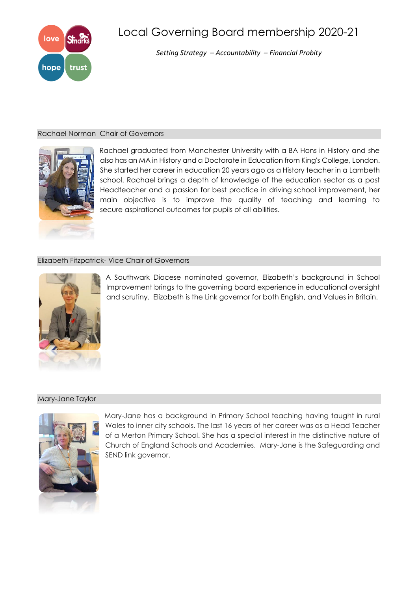

# Local Governing Board membership 2020-21

*Setting Strategy – Accountability – Financial Probity*

## Rachael Norman Chair of Governors



Rachael graduated from Manchester University with a BA Hons in History and she also has an MA in History and a Doctorate in Education from King's College, London. She started her career in education 20 years ago as a History teacher in a Lambeth school. Rachael brings a depth of knowledge of the education sector as a past Headteacher and a passion for best practice in driving school improvement, her main objective is to improve the quality of teaching and learning to secure aspirational outcomes for pupils of all abilities.

# Elizabeth Fitzpatrick- Vice Chair of Governors



A Southwark Diocese nominated governor, Elizabeth's background in School Improvement brings to the governing board experience in educational oversight and scrutiny. Elizabeth is the Link governor for both English, and Values in Britain.

## Mary-Jane Taylor



Mary-Jane has a background in Primary School teaching having taught in rural Wales to inner city schools. The last 16 years of her career was as a Head Teacher of a Merton Primary School. She has a special interest in the distinctive nature of Church of England Schools and Academies. Mary-Jane is the Safeguarding and SEND link governor.